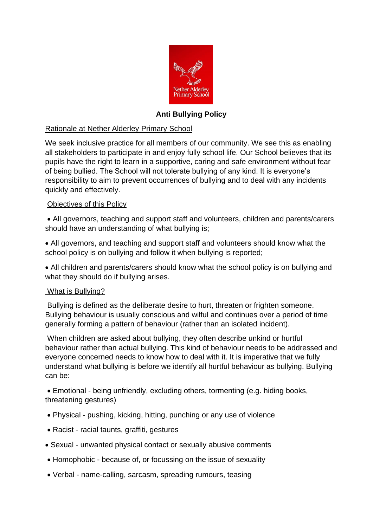

# **Anti Bullying Policy**

# Rationale at Nether Alderley Primary School

We seek inclusive practice for all members of our community. We see this as enabling all stakeholders to participate in and enjoy fully school life. Our School believes that its pupils have the right to learn in a supportive, caring and safe environment without fear of being bullied. The School will not tolerate bullying of any kind. It is everyone's responsibility to aim to prevent occurrences of bullying and to deal with any incidents quickly and effectively.

# Objectives of this Policy

• All governors, teaching and support staff and volunteers, children and parents/carers should have an understanding of what bullying is;

• All governors, and teaching and support staff and volunteers should know what the school policy is on bullying and follow it when bullying is reported;

• All children and parents/carers should know what the school policy is on bullying and what they should do if bullying arises.

#### What is Bullying?

Bullying is defined as the deliberate desire to hurt, threaten or frighten someone. Bullying behaviour is usually conscious and wilful and continues over a period of time generally forming a pattern of behaviour (rather than an isolated incident).

When children are asked about bullying, they often describe unkind or hurtful behaviour rather than actual bullying. This kind of behaviour needs to be addressed and everyone concerned needs to know how to deal with it. It is imperative that we fully understand what bullying is before we identify all hurtful behaviour as bullying. Bullying can be:

• Emotional - being unfriendly, excluding others, tormenting (e.g. hiding books, threatening gestures)

- Physical pushing, kicking, hitting, punching or any use of violence
- Racist racial taunts, graffiti, gestures
- Sexual unwanted physical contact or sexually abusive comments
- Homophobic because of, or focussing on the issue of sexuality
- Verbal name-calling, sarcasm, spreading rumours, teasing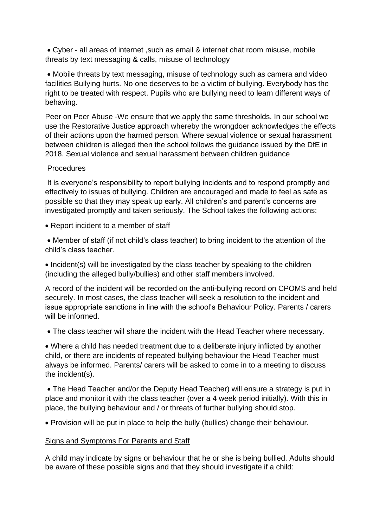• Cyber - all areas of internet ,such as email & internet chat room misuse, mobile threats by text messaging & calls, misuse of technology

• Mobile threats by text messaging, misuse of technology such as camera and video facilities Bullying hurts. No one deserves to be a victim of bullying. Everybody has the right to be treated with respect. Pupils who are bullying need to learn different ways of behaving.

Peer on Peer Abuse -We ensure that we apply the same thresholds. In our school we use the Restorative Justice approach whereby the wrongdoer acknowledges the effects of their actions upon the harmed person. Where sexual violence or sexual harassment between children is alleged then the school follows the guidance issued by the DfE in 2018. Sexual violence and sexual harassment between children guidance

### Procedures

It is everyone's responsibility to report bullying incidents and to respond promptly and effectively to issues of bullying. Children are encouraged and made to feel as safe as possible so that they may speak up early. All children's and parent's concerns are investigated promptly and taken seriously. The School takes the following actions:

• Report incident to a member of staff

• Member of staff (if not child's class teacher) to bring incident to the attention of the child's class teacher.

• Incident(s) will be investigated by the class teacher by speaking to the children (including the alleged bully/bullies) and other staff members involved.

A record of the incident will be recorded on the anti-bullying record on CPOMS and held securely. In most cases, the class teacher will seek a resolution to the incident and issue appropriate sanctions in line with the school's Behaviour Policy. Parents / carers will be informed.

• The class teacher will share the incident with the Head Teacher where necessary.

• Where a child has needed treatment due to a deliberate injury inflicted by another child, or there are incidents of repeated bullying behaviour the Head Teacher must always be informed. Parents/ carers will be asked to come in to a meeting to discuss the incident(s).

• The Head Teacher and/or the Deputy Head Teacher) will ensure a strategy is put in place and monitor it with the class teacher (over a 4 week period initially). With this in place, the bullying behaviour and / or threats of further bullying should stop.

• Provision will be put in place to help the bully (bullies) change their behaviour.

#### Signs and Symptoms For Parents and Staff

A child may indicate by signs or behaviour that he or she is being bullied. Adults should be aware of these possible signs and that they should investigate if a child: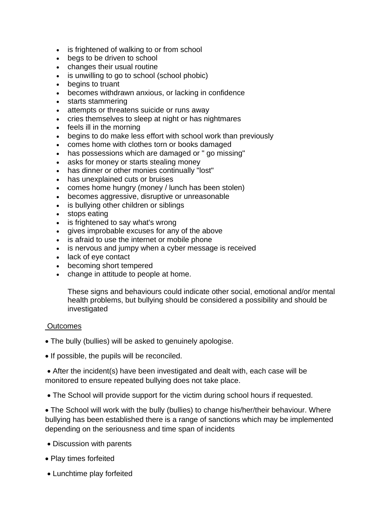- is frightened of walking to or from school
- begs to be driven to school
- changes their usual routine
- is unwilling to go to school (school phobic)
- begins to truant
- becomes withdrawn anxious, or lacking in confidence
- starts stammering
- attempts or threatens suicide or runs away
- cries themselves to sleep at night or has nightmares
- feels ill in the morning
- begins to do make less effort with school work than previously
- comes home with clothes torn or books damaged
- has possessions which are damaged or " go missing"
- asks for money or starts stealing money
- has dinner or other monies continually "lost"
- has unexplained cuts or bruises
- comes home hungry (money / lunch has been stolen)
- becomes aggressive, disruptive or unreasonable
- is bullying other children or siblings
- stops eating
- is frightened to say what's wrong
- gives improbable excuses for any of the above
- is afraid to use the internet or mobile phone
- is nervous and jumpy when a cyber message is received
- lack of eye contact
- becoming short tempered
- change in attitude to people at home.

These signs and behaviours could indicate other social, emotional and/or mental health problems, but bullying should be considered a possibility and should be investigated

#### **Outcomes**

- The bully (bullies) will be asked to genuinely apologise.
- If possible, the pupils will be reconciled.

• After the incident(s) have been investigated and dealt with, each case will be monitored to ensure repeated bullying does not take place.

• The School will provide support for the victim during school hours if requested.

• The School will work with the bully (bullies) to change his/her/their behaviour. Where bullying has been established there is a range of sanctions which may be implemented depending on the seriousness and time span of incidents

- Discussion with parents
- Play times forfeited
- Lunchtime play forfeited